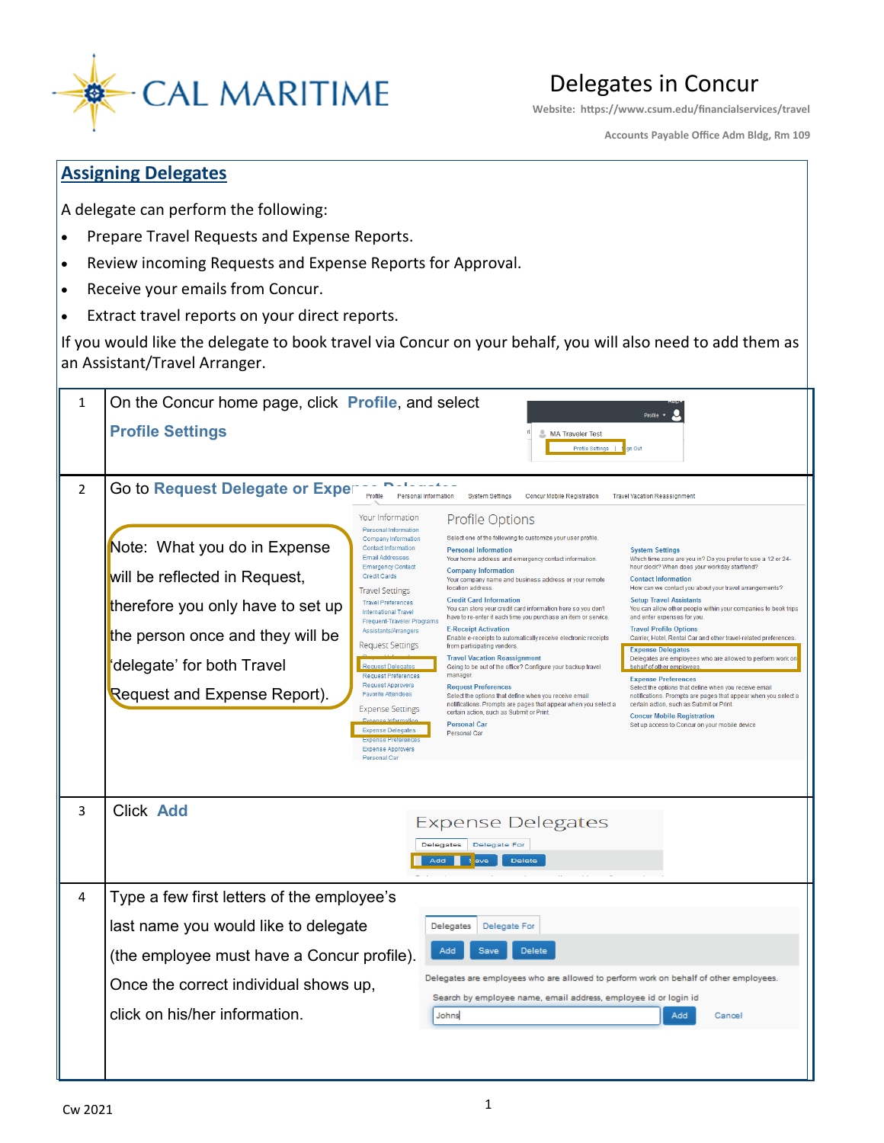

Delegates in Concur

**Website: https://www.csum.edu/financialservices/travel**

**Accounts Payable Office Adm Bldg, Rm 109**

## **Assigning Delegates**

A delegate can perform the following:

- Prepare Travel Requests and Expense Reports.
- Review incoming Requests and Expense Reports for Approval.
- Receive your emails from Concur.
- Extract travel reports on your direct reports.

If you would like the delegate to book travel via Concur on your behalf, you will also need to add them as an Assistant/Travel Arranger.

| $\mathbf{1}$   | On the Concur home page, click Profile, and select<br>Profile<br><b>Profile Settings</b><br><b>L. MA Traveler Test</b>                                                                                                                                                                                                                                                                                                                                                                                                                                                                                                                                                                                                                                                                                                                                                                                                                                                                                                                                                                                                                                                                                                                                                                                                                                                                                                                                                                                                                                                                                                                                                                                                                                                                                                                                                                                                                                                                                                                                                                                                                                                                                                                                                                                                                                                                                                                                                                                                                                                                                                                         |
|----------------|------------------------------------------------------------------------------------------------------------------------------------------------------------------------------------------------------------------------------------------------------------------------------------------------------------------------------------------------------------------------------------------------------------------------------------------------------------------------------------------------------------------------------------------------------------------------------------------------------------------------------------------------------------------------------------------------------------------------------------------------------------------------------------------------------------------------------------------------------------------------------------------------------------------------------------------------------------------------------------------------------------------------------------------------------------------------------------------------------------------------------------------------------------------------------------------------------------------------------------------------------------------------------------------------------------------------------------------------------------------------------------------------------------------------------------------------------------------------------------------------------------------------------------------------------------------------------------------------------------------------------------------------------------------------------------------------------------------------------------------------------------------------------------------------------------------------------------------------------------------------------------------------------------------------------------------------------------------------------------------------------------------------------------------------------------------------------------------------------------------------------------------------------------------------------------------------------------------------------------------------------------------------------------------------------------------------------------------------------------------------------------------------------------------------------------------------------------------------------------------------------------------------------------------------------------------------------------------------------------------------------------------------|
|                | Profile Settings  <br>in Out                                                                                                                                                                                                                                                                                                                                                                                                                                                                                                                                                                                                                                                                                                                                                                                                                                                                                                                                                                                                                                                                                                                                                                                                                                                                                                                                                                                                                                                                                                                                                                                                                                                                                                                                                                                                                                                                                                                                                                                                                                                                                                                                                                                                                                                                                                                                                                                                                                                                                                                                                                                                                   |
| $\overline{2}$ | Go to Request Delegate or Exper<br>$-1$<br>Profile<br>Personal Information<br><b>Concur Mobile Registration</b><br><b>System Settings</b><br><b>Travel Vacation Reassignment</b>                                                                                                                                                                                                                                                                                                                                                                                                                                                                                                                                                                                                                                                                                                                                                                                                                                                                                                                                                                                                                                                                                                                                                                                                                                                                                                                                                                                                                                                                                                                                                                                                                                                                                                                                                                                                                                                                                                                                                                                                                                                                                                                                                                                                                                                                                                                                                                                                                                                               |
|                | Profile Options<br>Your Information<br><b>Personal Information</b><br>Select one of the following to customize your user profile<br>Company Information<br>Note: What you do in Expense<br><b>Contact Information</b><br><b>Personal Information</b><br><b>System Settings</b><br>Email Addresses<br>Your home address and emergency contact information.<br>Which time zone are you in? Do you prefer to use a 12 or 24-<br><b>Emergency Contact</b><br>hour clock? When does your workday start/end?<br><b>Company Information</b><br>will be reflected in Request,<br><b>Credit Cards</b><br><b>Contact Information</b><br>Your company name and business address or your remote<br>How can we contact you about your travel arrangements?<br>location address<br><b>Travel Settings</b><br><b>Credit Card Information</b><br><b>Setup Travel Assistants</b><br><b>Travel Preferences</b><br>therefore you only have to set up<br>You can store your credit card information here so you don't<br>You can allow other people within your companies to book trips<br><b>International Travel</b><br>have to re-enter it each time you purchase an item or service.<br>and enter expenses for you<br>Frequent-Traveler Programs<br><b>E-Receipt Activation</b><br><b>Travel Profile Options</b><br>Assistants/Arrangers<br>the person once and they will be<br>Enable e-receipts to automatically receive electronic receipts<br>Carrier, Hotel, Rental Car and other travel-related preferences.<br><b>Request Settings</b><br>from participating vendors.<br><b>Expense Delegates</b><br><b>Travel Vacation Reassignment</b><br>Delegates are employees who are allowed to perform work on<br>'delegate' for both Travel<br><b>Request Delegates</b><br>Going to be out of the office? Configure your backup travel<br>behalf of other employees<br>manager.<br><b>Request Preferences</b><br><b>Expense Preferences</b><br><b>Request Approvers</b><br><b>Request Preferences</b><br>Select the options that define when you receive email<br>Request and Expense Report).<br><b>Favorite Attendees</b><br>Select the options that define when you receive email<br>notifications. Prompts are pages that appear when you select a<br>notifications. Prompts are pages that appear when you select a<br>certain action, such as Submit or Print.<br><b>Expense Settings</b><br>certain action, such as Submit or Print.<br><b>Concur Mobile Registration</b><br><b>Personal Car</b><br>Set up access to Concur on your mobile device<br><b>Expense Delegates</b><br>Personal Car<br><b>Expense Preferences</b><br><b>Expense Approvers</b> |
|                | Personal Car                                                                                                                                                                                                                                                                                                                                                                                                                                                                                                                                                                                                                                                                                                                                                                                                                                                                                                                                                                                                                                                                                                                                                                                                                                                                                                                                                                                                                                                                                                                                                                                                                                                                                                                                                                                                                                                                                                                                                                                                                                                                                                                                                                                                                                                                                                                                                                                                                                                                                                                                                                                                                                   |
| 3              | <b>Click Add</b><br><b>Expense Delegates</b><br>Delegate For<br><b>Delegates</b><br>Delete<br>Add                                                                                                                                                                                                                                                                                                                                                                                                                                                                                                                                                                                                                                                                                                                                                                                                                                                                                                                                                                                                                                                                                                                                                                                                                                                                                                                                                                                                                                                                                                                                                                                                                                                                                                                                                                                                                                                                                                                                                                                                                                                                                                                                                                                                                                                                                                                                                                                                                                                                                                                                              |
| 4              | Type a few first letters of the employee's                                                                                                                                                                                                                                                                                                                                                                                                                                                                                                                                                                                                                                                                                                                                                                                                                                                                                                                                                                                                                                                                                                                                                                                                                                                                                                                                                                                                                                                                                                                                                                                                                                                                                                                                                                                                                                                                                                                                                                                                                                                                                                                                                                                                                                                                                                                                                                                                                                                                                                                                                                                                     |
|                | last name you would like to delegate<br>Delegates<br>Delegate For                                                                                                                                                                                                                                                                                                                                                                                                                                                                                                                                                                                                                                                                                                                                                                                                                                                                                                                                                                                                                                                                                                                                                                                                                                                                                                                                                                                                                                                                                                                                                                                                                                                                                                                                                                                                                                                                                                                                                                                                                                                                                                                                                                                                                                                                                                                                                                                                                                                                                                                                                                              |
|                | Add<br>Save<br><b>Delete</b><br>(the employee must have a Concur profile).                                                                                                                                                                                                                                                                                                                                                                                                                                                                                                                                                                                                                                                                                                                                                                                                                                                                                                                                                                                                                                                                                                                                                                                                                                                                                                                                                                                                                                                                                                                                                                                                                                                                                                                                                                                                                                                                                                                                                                                                                                                                                                                                                                                                                                                                                                                                                                                                                                                                                                                                                                     |
|                | Delegates are employees who are allowed to perform work on behalf of other employees.<br>Once the correct individual shows up,                                                                                                                                                                                                                                                                                                                                                                                                                                                                                                                                                                                                                                                                                                                                                                                                                                                                                                                                                                                                                                                                                                                                                                                                                                                                                                                                                                                                                                                                                                                                                                                                                                                                                                                                                                                                                                                                                                                                                                                                                                                                                                                                                                                                                                                                                                                                                                                                                                                                                                                 |
|                | Search by employee name, email address, employee id or login id<br>click on his/her information.<br>Johns<br>Add<br>Cancel                                                                                                                                                                                                                                                                                                                                                                                                                                                                                                                                                                                                                                                                                                                                                                                                                                                                                                                                                                                                                                                                                                                                                                                                                                                                                                                                                                                                                                                                                                                                                                                                                                                                                                                                                                                                                                                                                                                                                                                                                                                                                                                                                                                                                                                                                                                                                                                                                                                                                                                     |
|                |                                                                                                                                                                                                                                                                                                                                                                                                                                                                                                                                                                                                                                                                                                                                                                                                                                                                                                                                                                                                                                                                                                                                                                                                                                                                                                                                                                                                                                                                                                                                                                                                                                                                                                                                                                                                                                                                                                                                                                                                                                                                                                                                                                                                                                                                                                                                                                                                                                                                                                                                                                                                                                                |